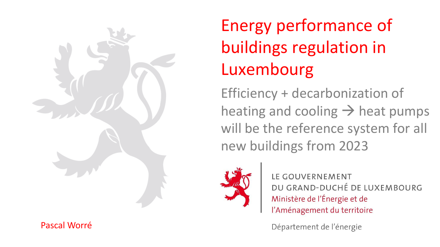

#### Pascal Worré

# Energy performance of buildings regulation in Luxembourg

Efficiency + decarbonization of heating and cooling  $\rightarrow$  heat pumps will be the reference system for all new buildings from 2023



LE GOUVERNEMENT DU GRAND-DUCHÉ DE LUXEMBOURG Ministère de l'Énergie et de l'Aménagement du territoire

Département de l'énergie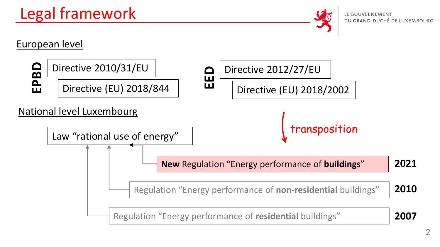## Legal framework



#### European level

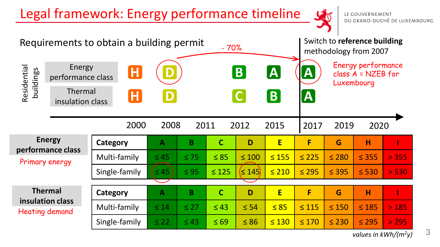## Legal framework: Energy performance timeline

LE GOUVERNEMENT<br>DU GRAND-DUCHÉ DE LUXEMBOURG

50

| Requirements to obtain a building permit<br>$-70%$   |                                                            |                              |              |                |              |                  |               | Switch to reference building<br>methodology from 2007 |            |                                                          |       |
|------------------------------------------------------|------------------------------------------------------------|------------------------------|--------------|----------------|--------------|------------------|---------------|-------------------------------------------------------|------------|----------------------------------------------------------|-------|
| Residential<br>buildings                             | Energy<br>performance class<br>Thermal<br>insulation class | $\overline{\mathsf{H}}$<br>Н |              |                |              | B<br>$\mathbf C$ | $\bm{A}$<br>B | $ \mathsf{A} $<br>$ \mathbf{A} $                      |            | Energy performance<br>class $A = NZEB$ for<br>Luxembourg |       |
|                                                      |                                                            | 2000                         | 2008         |                | 2012<br>2011 |                  | 2015          | 2019<br>2017                                          |            | 2020                                                     |       |
| <b>Energy</b><br>performance class<br>Primary energy |                                                            | Category                     | $\mathbf{A}$ | $\overline{B}$ | $\mathbf C$  | D                | E             | F                                                     | G          | H                                                        |       |
|                                                      |                                                            | Multi-family                 | $\leq 45$    | $\leq 75$      | $\leq 85$    | $\leq 100$       | $\leq 155$    | $\leq 225$                                            | $\leq 280$ | $\leq$ 355                                               | > 355 |
|                                                      |                                                            | Single-family                | $\leq 45$    | $\leq 95$      | $\leq 125$   | $\leq 145$       | $\leq 210$    | $\leq 295$                                            | $\leq$ 395 | $\leq 530$                                               | > 530 |
| <b>Thermal</b>                                       |                                                            |                              |              | B              | $\mathbf C$  | D                |               | F                                                     |            | H                                                        |       |
|                                                      | insulation class                                           | Category                     | $\mathbf{A}$ |                |              |                  | E             |                                                       | G          |                                                          |       |
| <b>Heating demand</b>                                |                                                            | Multi-family                 | $\leq 14$    | $\leq$ 27      | $\leq 43$    | $\leq 54$        | $\leq 85$     | $\leq 115$                                            | $\leq 150$ | $\leq 185$                                               | > 185 |
|                                                      |                                                            | Single-family                | $\leq 22$    | $\leq 43$      | $\leq 69$    | $\leq 86$        | $\leq 130$    | $\leq 170$                                            | $\leq 230$ | $\leq 295$                                               | > 295 |

*values in kWh/(m<sup>2</sup>y)*

3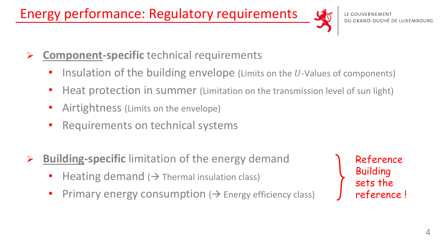Energy performance: Regulatory requirements



- ➢ **Component-specific** technical requirements
	- Insulation of the building envelope (Limits on the  $U$ -Values of components)
	- Heat protection in summer (Limitation on the transmission level of sun light)
	- Airtightness (Limits on the envelope)
	- Requirements on technical systems
- **Building-specific** limitation of the energy demand
	- Heating demand ( $\rightarrow$  Thermal insulation class)
	- Primary energy consumption  $\rightarrow$  Energy efficiency class)

Reference Building sets the reference !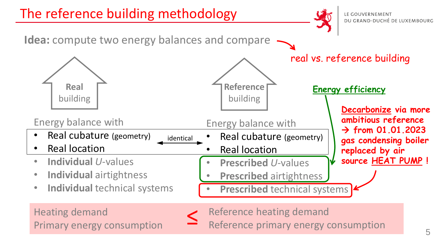

Primary energy consumption

Reference primary energy consumption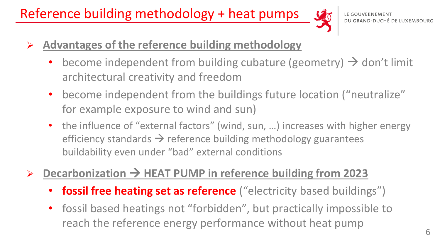Reference building methodology + heat pumps



- ➢ **Advantages of the reference building methodology**
	- become independent from building cubature (geometry)  $\rightarrow$  don't limit architectural creativity and freedom
	- become independent from the buildings future location ("neutralize" for example exposure to wind and sun)
	- the influence of "external factors" (wind, sun, ...) increases with higher energy efficiency standards  $\rightarrow$  reference building methodology guarantees buildability even under "bad" external conditions

### Decarbonization → HEAT PUMP in reference building from 2023

- **fossil free heating set as reference** ("electricity based buildings")
- fossil based heatings not "forbidden", but practically impossible to reach the reference energy performance without heat pump